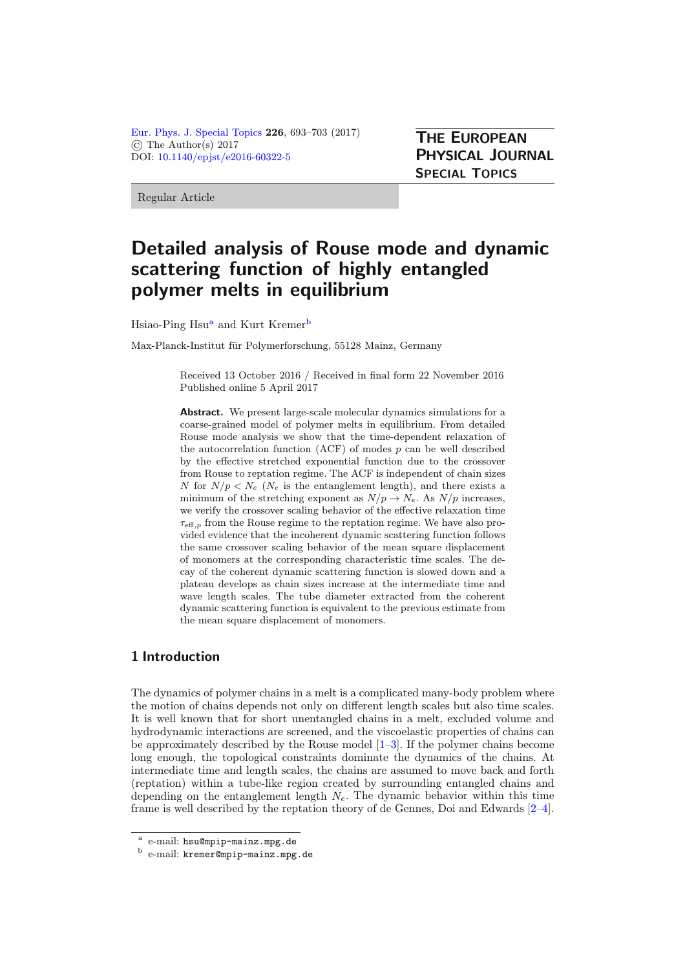[Eur. Phys. J. Special Topics](http://www.epj.org/) 226, 693–703 (2017) © The Author(s) 2017 DOI: [10.1140/epjst/e2016-60322-5](http://dx.doi.org/10.1140/epjst/e2016-60322-5)

THE EUROPEAN PHYSICAL JOURNAL SPECIAL TOPICS

Regular Article

# Detailed analysis of Rouse mode and dynamic scattering function of highly entangled polymer melts in equilibrium

Hsiao-Ping Hsu<sup>a</sup> and Kurt Kremer<sup>b</sup>

Max-Planck-Institut für Polymerforschung, 55128 Mainz, Germany

Received 13 October 2016 / Received in final form 22 November 2016 Published online 5 April 2017

Abstract. We present large-scale molecular dynamics simulations for a coarse-grained model of polymer melts in equilibrium. From detailed Rouse mode analysis we show that the time-dependent relaxation of the autocorrelation function  $(ACF)$  of modes  $p$  can be well described by the effective stretched exponential function due to the crossover from Rouse to reptation regime. The ACF is independent of chain sizes N for  $N/p < N_e$  ( $N_e$  is the entanglement length), and there exists a minimum of the stretching exponent as  $N/p \rightarrow N_e$ . As  $N/p$  increases, we verify the crossover scaling behavior of the effective relaxation time  $\tau_{\text{eff},p}$  from the Rouse regime to the reptation regime. We have also provided evidence that the incoherent dynamic scattering function follows the same crossover scaling behavior of the mean square displacement of monomers at the corresponding characteristic time scales. The decay of the coherent dynamic scattering function is slowed down and a plateau develops as chain sizes increase at the intermediate time and wave length scales. The tube diameter extracted from the coherent dynamic scattering function is equivalent to the previous estimate from the mean square displacement of monomers.

## 1 Introduction

The dynamics of polymer chains in a melt is a complicated many-body problem where the motion of chains depends not only on different length scales but also time scales. It is well known that for short unentangled chains in a melt, excluded volume and hydrodynamic interactions are screened, and the viscoelastic properties of chains can be approximately described by the Rouse model  $[1-3]$  $[1-3]$ . If the polymer chains become long enough, the topological constraints dominate the dynamics of the chains. At intermediate time and length scales, the chains are assumed to move back and forth (reptation) within a tube-like region created by surrounding entangled chains and depending on the entanglement length  $N_e$ . The dynamic behavior within this time frame is well described by the reptation theory of de Gennes, Doi and Edwards [\[2](#page-9-2)[–4\]](#page-9-3).

<sup>a</sup> e-mail: hsu@mpip-mainz.mpg.de

<sup>b</sup> e-mail: kremer@mpip-mainz.mpg.de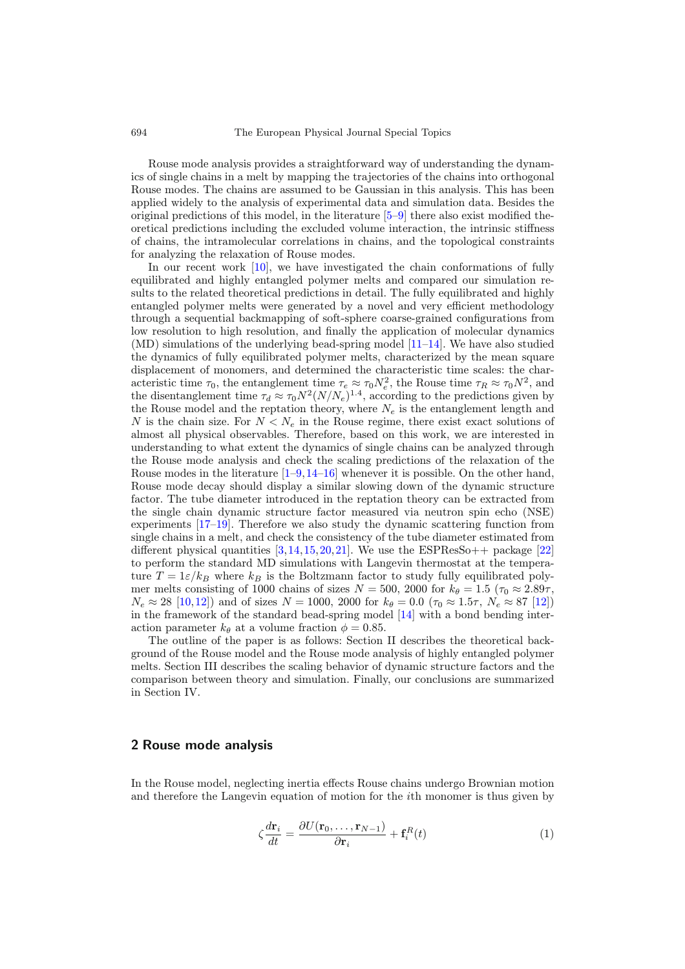Rouse mode analysis provides a straightforward way of understanding the dynamics of single chains in a melt by mapping the trajectories of the chains into orthogonal Rouse modes. The chains are assumed to be Gaussian in this analysis. This has been applied widely to the analysis of experimental data and simulation data. Besides the original predictions of this model, in the literature [\[5](#page-9-4)[–9\]](#page-9-5) there also exist modified theoretical predictions including the excluded volume interaction, the intrinsic stiffness of chains, the intramolecular correlations in chains, and the topological constraints for analyzing the relaxation of Rouse modes.

In our recent work [\[10\]](#page-10-0), we have investigated the chain conformations of fully equilibrated and highly entangled polymer melts and compared our simulation results to the related theoretical predictions in detail. The fully equilibrated and highly entangled polymer melts were generated by a novel and very efficient methodology through a sequential backmapping of soft-sphere coarse-grained configurations from low resolution to high resolution, and finally the application of molecular dynamics (MD) simulations of the underlying bead-spring model [\[11](#page-10-1)[–14\]](#page-10-2). We have also studied the dynamics of fully equilibrated polymer melts, characterized by the mean square displacement of monomers, and determined the characteristic time scales: the characteristic time  $\tau_0$ , the entanglement time  $\tau_e \approx \tau_0 N_e^2$ , the Rouse time  $\tau_R \approx \tau_0 N^2$ , and the disentanglement time  $\tau_d \approx \tau_0 N^2 (N/N_e)^{1.4}$ , according to the predictions given by the Rouse model and the reptation theory, where  $N_e$  is the entanglement length and N is the chain size. For  $N < N_e$  in the Rouse regime, there exist exact solutions of almost all physical observables. Therefore, based on this work, we are interested in understanding to what extent the dynamics of single chains can be analyzed through the Rouse mode analysis and check the scaling predictions of the relaxation of the Rouse modes in the literature  $[1-9,14-16]$  $[1-9,14-16]$  $[1-9,14-16]$  $[1-9,14-16]$  whenever it is possible. On the other hand, Rouse mode decay should display a similar slowing down of the dynamic structure factor. The tube diameter introduced in the reptation theory can be extracted from the single chain dynamic structure factor measured via neutron spin echo (NSE) experiments [\[17](#page-10-4)[–19\]](#page-10-5). Therefore we also study the dynamic scattering function from single chains in a melt, and check the consistency of the tube diameter estimated from different physical quantities  $[3,14,15,20,21]$  $[3,14,15,20,21]$  $[3,14,15,20,21]$  $[3,14,15,20,21]$  $[3,14,15,20,21]$  $[3,14,15,20,21]$ . We use the ESPResSo++ package  $[22]$ to perform the standard MD simulations with Langevin thermostat at the temperature  $T = 1\varepsilon/k_B$  where  $k_B$  is the Boltzmann factor to study fully equilibrated polymer melts consisting of 1000 chains of sizes  $N = 500$ , 2000 for  $k_{\theta} = 1.5$  ( $\tau_0 \approx 2.89\tau$ ,  $N_e \approx 28$  [\[10,](#page-10-0)[12\]](#page-10-10)) and of sizes  $N = 1000$ , 2000 for  $k_\theta = 0.0$  ( $\tau_0 \approx 1.5\tau$ ,  $N_e \approx 87$  [\[12\]](#page-10-10)) in the framework of the standard bead-spring model [\[14\]](#page-10-2) with a bond bending interaction parameter  $k_{\theta}$  at a volume fraction  $\phi = 0.85$ .

The outline of the paper is as follows: Section II describes the theoretical background of the Rouse model and the Rouse mode analysis of highly entangled polymer melts. Section III describes the scaling behavior of dynamic structure factors and the comparison between theory and simulation. Finally, our conclusions are summarized in Section IV.

#### 2 Rouse mode analysis

In the Rouse model, neglecting inertia effects Rouse chains undergo Brownian motion and therefore the Langevin equation of motion for the ith monomer is thus given by

$$
\zeta \frac{d\mathbf{r}_i}{dt} = \frac{\partial U(\mathbf{r}_0, \dots, \mathbf{r}_{N-1})}{\partial \mathbf{r}_i} + \mathbf{f}_i^R(t) \tag{1}
$$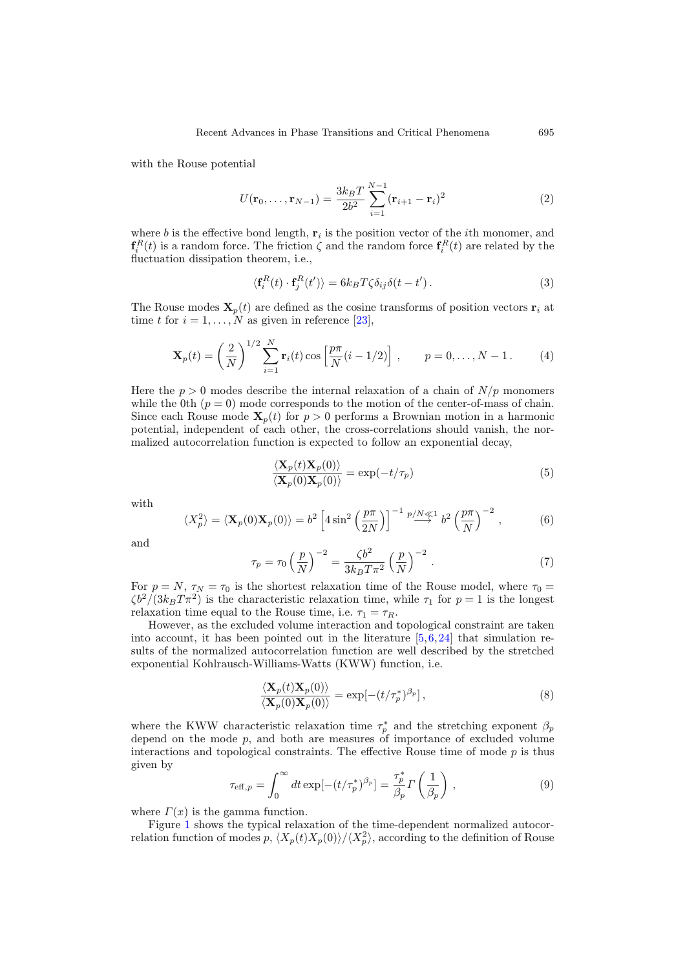with the Rouse potential

$$
U(\mathbf{r}_0, \dots, \mathbf{r}_{N-1}) = \frac{3k_B T}{2b^2} \sum_{i=1}^{N-1} (\mathbf{r}_{i+1} - \mathbf{r}_i)^2
$$
 (2)

where b is the effective bond length,  $\mathbf{r}_i$  is the position vector of the *i*th monomer, and  $\mathbf{f}_i^R(t)$  is a random force. The friction  $\zeta$  and the random force  $\mathbf{f}_i^R(t)$  are related by the fluctuation dissipation theorem, i.e.,

<span id="page-2-1"></span>
$$
\langle \mathbf{f}_i^R(t) \cdot \mathbf{f}_j^R(t') \rangle = 6k_B T \zeta \delta_{ij} \delta(t - t'). \tag{3}
$$

The Rouse modes  $\mathbf{X}_p(t)$  are defined as the cosine transforms of position vectors  $\mathbf{r}_i$  at time t for  $i = 1, \ldots, N$  as given in reference [\[23](#page-10-11)],

$$
\mathbf{X}_p(t) = \left(\frac{2}{N}\right)^{1/2} \sum_{i=1}^N \mathbf{r}_i(t) \cos\left[\frac{p\pi}{N}(i-1/2)\right], \qquad p = 0, \dots, N-1.
$$
 (4)

Here the  $p > 0$  modes describe the internal relaxation of a chain of  $N/p$  monomers while the 0th  $(p = 0)$  mode corresponds to the motion of the center-of-mass of chain. Since each Rouse mode  $\mathbf{X}_p(t)$  for  $p > 0$  performs a Brownian motion in a harmonic potential, independent of each other, the cross-correlations should vanish, the normalized autocorrelation function is expected to follow an exponential decay,

<span id="page-2-2"></span>
$$
\frac{\langle \mathbf{X}_p(t) \mathbf{X}_p(0) \rangle}{\langle \mathbf{X}_p(0) \mathbf{X}_p(0) \rangle} = \exp(-t/\tau_p)
$$
\n(5)

<span id="page-2-4"></span>with

$$
\langle X_p^2 \rangle = \langle \mathbf{X}_p(0) \mathbf{X}_p(0) \rangle = b^2 \left[ 4 \sin^2 \left( \frac{p \pi}{2N} \right) \right]^{-1} \stackrel{p/N \ll 1}{\longrightarrow} b^2 \left( \frac{p \pi}{N} \right)^{-2}, \tag{6}
$$

and

$$
\tau_p = \tau_0 \left(\frac{p}{N}\right)^{-2} = \frac{\zeta b^2}{3k_B T \pi^2} \left(\frac{p}{N}\right)^{-2} . \tag{7}
$$

For  $p = N$ ,  $\tau_N = \tau_0$  is the shortest relaxation time of the Rouse model, where  $\tau_0 =$  $\zeta b^2/(3k_BT\pi^2)$  is the characteristic relaxation time, while  $\tau_1$  for  $p=1$  is the longest relaxation time equal to the Rouse time, i.e.  $\tau_1 = \tau_R$ .

However, as the excluded volume interaction and topological constraint are taken into account, it has been pointed out in the literature [\[5](#page-9-4)[,6](#page-9-6),[24\]](#page-10-12) that simulation results of the normalized autocorrelation function are well described by the stretched exponential Kohlrausch-Williams-Watts (KWW) function, i.e.

<span id="page-2-0"></span>
$$
\frac{\langle \mathbf{X}_p(t) \mathbf{X}_p(0) \rangle}{\langle \mathbf{X}_p(0) \mathbf{X}_p(0) \rangle} = \exp[-(t/\tau_p^*)^{\beta_p}],
$$
\n(8)

<span id="page-2-3"></span>where the KWW characteristic relaxation time  $\tau_p^*$  and the stretching exponent  $\beta_p$ depend on the mode  $p$ , and both are measures of importance of excluded volume interactions and topological constraints. The effective Rouse time of mode  $p$  is thus given by

$$
\tau_{\text{eff},p} = \int_0^\infty dt \exp[-(t/\tau_p^*)^{\beta_p}] = \frac{\tau_p^*}{\beta_p} \Gamma\left(\frac{1}{\beta_p}\right) ,\qquad (9)
$$

where  $\Gamma(x)$  is the gamma function.

Figure [1](#page-3-0) shows the typical relaxation of the time-dependent normalized autocorrelation function of modes  $p, \langle X_p(t)X_p(0)\rangle/\langle X_p^2\rangle$ , according to the definition of Rouse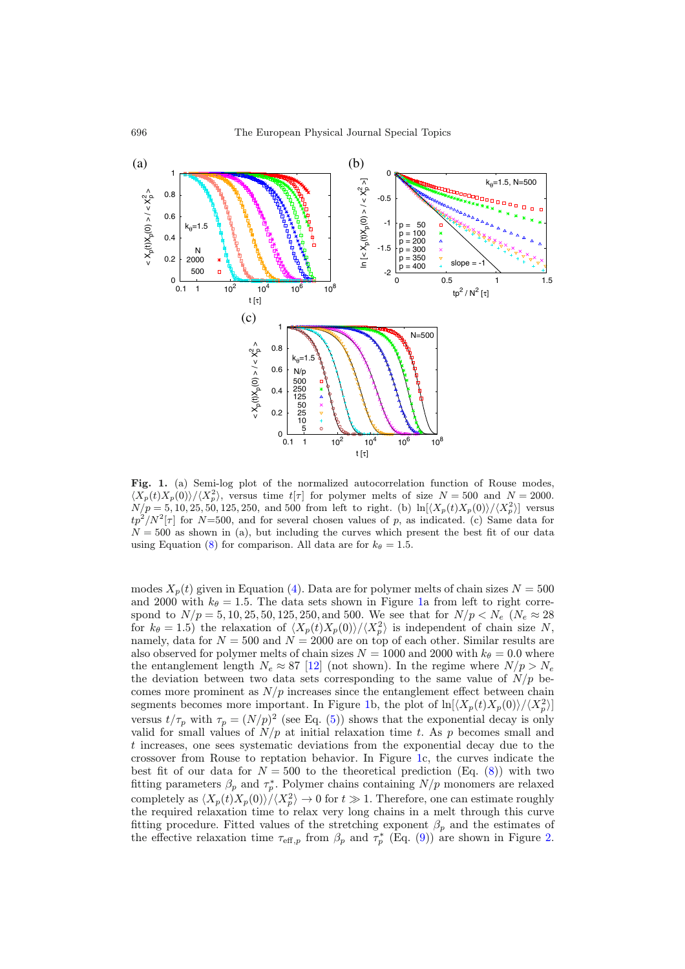<span id="page-3-0"></span>

Fig. 1. (a) Semi-log plot of the normalized autocorrelation function of Rouse modes,  $\langle X_p(t)X_p(0)\rangle/\langle X_p^2\rangle$ , versus time  $t[\tau]$  for polymer melts of size  $N = 500$  and  $N = 2000$ .  $N/p = 5, 10, 25, 50, 125, 250, \text{ and } 500 \text{ from left to right.}$  (b)  $\ln[\langle X_p(t)X_p(0)\rangle/\langle X_p^2\rangle]$  versus  $tp^2/N^2[\tau]$  for N=500, and for several chosen values of p, as indicated. (c) Same data for  $N = 500$  as shown in (a), but including the curves which present the best fit of our data using Equation [\(8\)](#page-2-0) for comparison. All data are for  $k_{\theta} = 1.5$ .

modes  $X_n(t)$  given in Equation [\(4\)](#page-2-1). Data are for polymer melts of chain sizes  $N = 500$ and 2000 with  $k_{\theta} = 1.5$ . The data sets shown in Figure [1a](#page-3-0) from left to right correspond to  $N/p = 5, 10, 25, 50, 125, 250,$  and 500. We see that for  $N/p < N_e$  ( $N_e \approx 28$ ) for  $k_{\theta} = 1.5$ ) the relaxation of  $\langle X_p(t)X_p(0)\rangle/\langle X_p^2\rangle$  is independent of chain size N, namely, data for  $N = 500$  and  $N = 2000$  are on top of each other. Similar results are also observed for polymer melts of chain sizes  $N = 1000$  and 2000 with  $k_{\theta} = 0.0$  where the entanglement length  $N_e \approx 87$  [\[12](#page-10-10)] (not shown). In the regime where  $N/p > N_e$ the deviation between two data sets corresponding to the same value of  $N/p$  becomes more prominent as  $N/p$  increases since the entanglement effect between chain segments becomes more important. In Figure [1b](#page-3-0), the plot of  $\ln[\langle X_p(t)X_p(0)\rangle/\langle X_p^2\rangle]$ versus  $t/\tau_p$  with  $\tau_p = (N/p)^2$  (see Eq. [\(5\)](#page-2-2)) shows that the exponential decay is only valid for small values of  $N/p$  at initial relaxation time t. As p becomes small and t increases, one sees systematic deviations from the exponential decay due to the crossover from Rouse to reptation behavior. In Figure [1c](#page-3-0), the curves indicate the best fit of our data for  $N = 500$  to the theoretical prediction (Eq. [\(8\)](#page-2-0)) with two fitting parameters  $\beta_p$  and  $\tau_p^*$ . Polymer chains containing  $N/p$  monomers are relaxed completely as  $\langle X_p(t)X_p(0)\rangle / \langle X_p^2 \rangle \to 0$  for  $t \gg 1$ . Therefore, one can estimate roughly the required relaxation time to relax very long chains in a melt through this curve fitting procedure. Fitted values of the stretching exponent  $\beta_p$  and the estimates of the effective relaxation time  $\tau_{\text{eff},p}$  from  $\beta_p$  and  $\tau_p^*$  (Eq. [\(9\)](#page-2-3)) are shown in Figure [2.](#page-4-0)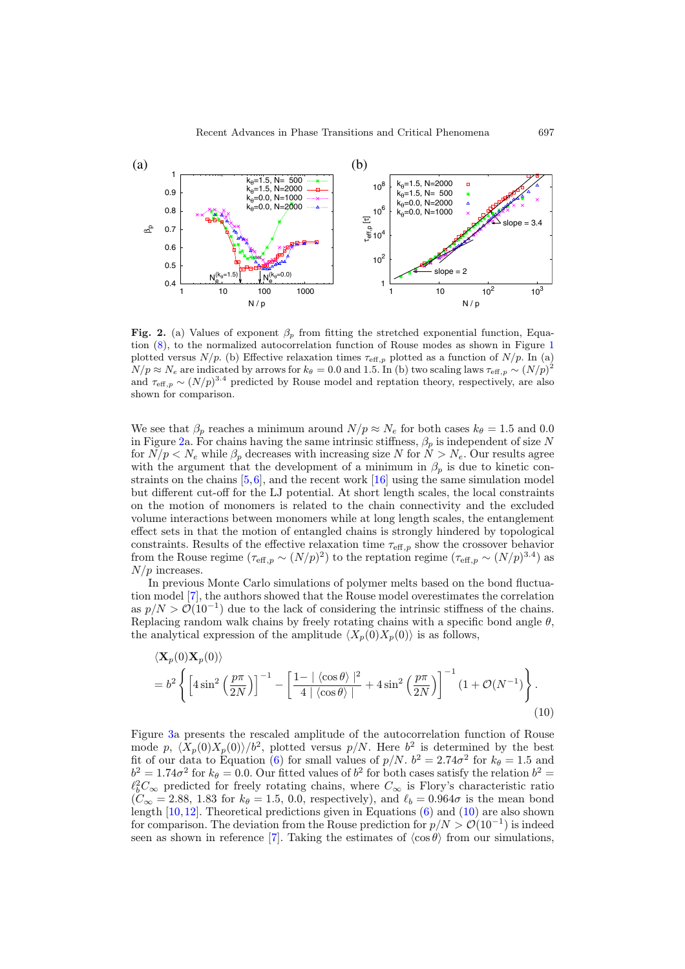<span id="page-4-0"></span>

Fig. 2. (a) Values of exponent  $\beta_p$  from fitting the stretched exponential function, Equation [\(8\)](#page-2-0), to the normalized autocorrelation function of Rouse modes as shown in Figure [1](#page-3-0) plotted versus  $N/p$ . (b) Effective relaxation times  $\tau_{\text{eff},p}$  plotted as a function of  $N/p$ . In (a)  $N/p \approx N_e$  are indicated by arrows for  $k_\theta = 0.0$  and 1.5. In (b) two scaling laws  $\tau_{\text{eff},p} \sim (N/p)^2$ and  $\tau_{\text{eff},p} \sim (N/p)^{3.4}$  predicted by Rouse model and reptation theory, respectively, are also shown for comparison.

We see that  $\beta_p$  reaches a minimum around  $N/p \approx N_e$  for both cases  $k_\theta = 1.5$  and 0.0 in Figure [2a](#page-4-0). For chains having the same intrinsic stiffness,  $\beta_p$  is independent of size N for  $N/p < N_e$  while  $\beta_p$  decreases with increasing size N for  $N > N_e$ . Our results agree with the argument that the development of a minimum in  $\beta_p$  is due to kinetic constraints on the chains  $[5,6]$  $[5,6]$  $[5,6]$ , and the recent work  $[16]$  using the same simulation model but different cut-off for the LJ potential. At short length scales, the local constraints on the motion of monomers is related to the chain connectivity and the excluded volume interactions between monomers while at long length scales, the entanglement effect sets in that the motion of entangled chains is strongly hindered by topological constraints. Results of the effective relaxation time  $\tau_{\text{eff},p}$  show the crossover behavior from the Rouse regime  $(\tau_{\text{eff},p} \sim (N/p)^2)$  to the reptation regime  $(\tau_{\text{eff},p} \sim (N/p)^{3.4})$  as  $N/p$  increases.

In previous Monte Carlo simulations of polymer melts based on the bond fluctuation model [\[7](#page-9-7)], the authors showed that the Rouse model overestimates the correlation as  $p/N > \mathcal{O}(10^{-1})$  due to the lack of considering the intrinsic stiffness of the chains. Replacing random walk chains by freely rotating chains with a specific bond angle  $\theta$ , the analytical expression of the amplitude  $\langle X_p(0)X_p(0)\rangle$  is as follows,

<span id="page-4-1"></span>
$$
\langle \mathbf{X}_p(0) \mathbf{X}_p(0) \rangle
$$
  
=  $b^2 \left\{ \left[ 4 \sin^2 \left( \frac{p\pi}{2N} \right) \right]^{-1} - \left[ \frac{1 - |\langle \cos \theta \rangle|^2}{4 | \langle \cos \theta \rangle |} + 4 \sin^2 \left( \frac{p\pi}{2N} \right) \right]^{-1} (1 + \mathcal{O}(N^{-1})) \right\}.$  (10)

Figure [3a](#page-5-0) presents the rescaled amplitude of the autocorrelation function of Rouse mode p,  $\langle X_p(0)X_p(0)\rangle/b^2$ , plotted versus p/N. Here  $b^2$  is determined by the best fit of our data to Equation [\(6\)](#page-2-4) for small values of  $p/N$ .  $b^2 = 2.74\sigma^2$  for  $k_\theta = 1.5$  and  $b^2 = 1.74\sigma^2$  for  $k_\theta = 0.0$ . Our fitted values of  $b^2$  for both cases satisfy the relation  $b^2 =$  $\ell_b^2 C_{\infty}$  predicted for freely rotating chains, where  $C_{\infty}$  is Flory's characteristic ratio  $(C_{\infty} = 2.88, 1.83$  for  $k_{\theta} = 1.5, 0.0,$  respectively), and  $\ell_b = 0.964\sigma$  is the mean bond length  $[10,12]$  $[10,12]$  $[10,12]$ . Theoretical predictions given in Equations  $(6)$  and  $(10)$  are also shown for comparison. The deviation from the Rouse prediction for  $p/N > O(10^{-1})$  is indeed seen as shown in reference [\[7\]](#page-9-7). Taking the estimates of  $\langle \cos \theta \rangle$  from our simulations,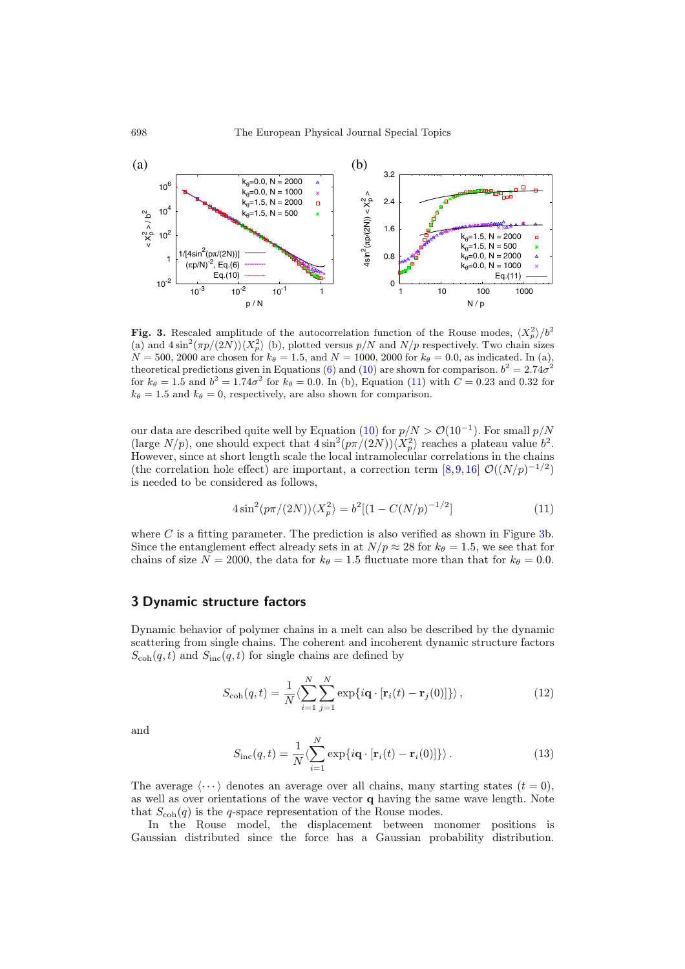<span id="page-5-0"></span>

**Fig. 3.** Rescaled amplitude of the autocorrelation function of the Rouse modes,  $\langle X_p^2 \rangle / b^2$ <br>(a) and  $\Lambda \sin^2(\pi n/(2N)) \times 2^2$  (b) plotted versus  $n/N$  and  $N/n$  respectively. Two chain sizes (a) and  $4\sin^2(\pi p/(2N))\langle X_p^2\rangle$  (b), plotted versus  $p/N$  and  $N/p$  respectively. Two chain sizes  $N = 500, 2000$  are chosen for  $k_{\theta} = 1.5$ , and  $N = 1000, 2000$  for  $k_{\theta} = 0.0$ , as indicated. In (a), theoretical predictions given in Equations [\(6\)](#page-2-4) and [\(10\)](#page-4-1) are shown for comparison.  $b^2 = 2.74\sigma^2$ for  $k_{\theta} = 1.5$  and  $b^2 = 1.74\sigma^2$  for  $k_{\theta} = 0.0$ . In (b), Equation [\(11\)](#page-5-1) with  $C = 0.23$  and 0.32 for  $k_{\theta} = 1.5$  and  $k_{\theta} = 0$ , respectively, are also shown for comparison.

our data are described quite well by Equation [\(10\)](#page-4-1) for  $p/N > \mathcal{O}(10^{-1})$ . For small  $p/N$ (large  $N/p$ ), one should expect that  $4\sin^2(p\pi/(2N))\langle X_p^2\rangle$  reaches a plateau value  $b^2$ . However, since at short length scale the local intramolecular correlations in the chains (the correlation hole effect) are important, a correction term  $[8,9,16]$  $[8,9,16]$  $[8,9,16]$  $[8,9,16]$   $\mathcal{O}((N/p)^{-1/2})$ is needed to be considered as follows,

<span id="page-5-1"></span>
$$
4\sin^2(p\pi/(2N))\langle X_p^2\rangle = b^2[(1 - C(N/p)^{-1/2}]\tag{11}
$$

where  $C$  is a fitting parameter. The prediction is also verified as shown in Figure [3b](#page-5-0). Since the entanglement effect already sets in at  $N/p \approx 28$  for  $k_{\theta} = 1.5$ , we see that for chains of size  $N = 2000$ , the data for  $k_{\theta} = 1.5$  fluctuate more than that for  $k_{\theta} = 0.0$ .

## 3 Dynamic structure factors

Dynamic behavior of polymer chains in a melt can also be described by the dynamic scattering from single chains. The coherent and incoherent dynamic structure factors  $S_{\text{coh}}(q, t)$  and  $S_{\text{inc}}(q, t)$  for single chains are defined by

<span id="page-5-2"></span>
$$
S_{\text{coh}}(q,t) = \frac{1}{N} \langle \sum_{i=1}^{N} \sum_{j=1}^{N} \exp\{i\mathbf{q} \cdot [\mathbf{r}_i(t) - \mathbf{r}_j(0)]\} \rangle, \qquad (12)
$$

<span id="page-5-3"></span>and

$$
S_{\rm inc}(q,t) = \frac{1}{N} \langle \sum_{i=1}^{N} \exp\{i\mathbf{q} \cdot [\mathbf{r}_i(t) - \mathbf{r}_i(0)]\} \rangle.
$$
 (13)

The average  $\langle \cdots \rangle$  denotes an average over all chains, many starting states  $(t = 0)$ , as well as over orientations of the wave vector q having the same wave length. Note that  $S_{\text{coh}}(q)$  is the q-space representation of the Rouse modes.

In the Rouse model, the displacement between monomer positions is Gaussian distributed since the force has a Gaussian probability distribution.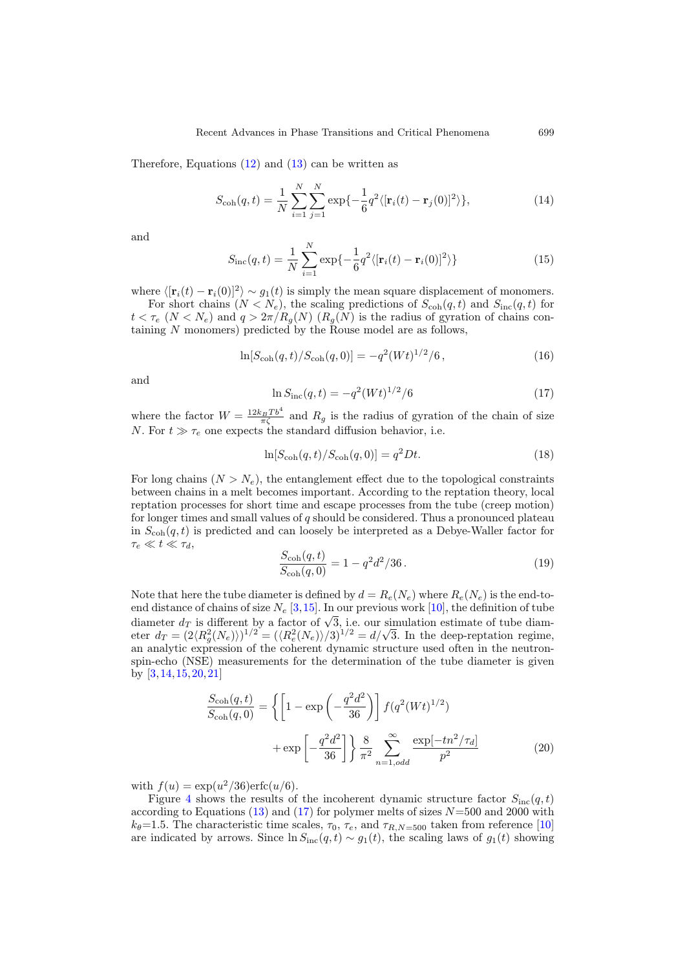Therefore, Equations  $(12)$  and  $(13)$  can be written as

$$
S_{\rm coh}(q,t) = \frac{1}{N} \sum_{i=1}^{N} \sum_{j=1}^{N} \exp\{-\frac{1}{6}q^2\langle[\mathbf{r}_i(t) - \mathbf{r}_j(0)]^2\rangle\},\tag{14}
$$

and

$$
S_{\rm inc}(q,t) = \frac{1}{N} \sum_{i=1}^{N} \exp\{-\frac{1}{6}q^2\langle[\mathbf{r}_i(t) - \mathbf{r}_i(0)]^2\rangle\}
$$
(15)

where  $\langle [\mathbf{r}_i(t) - \mathbf{r}_i(0)]^2 \rangle \sim g_1(t)$  is simply the mean square displacement of monomers. For short chains  $(N \le N_e)$ , the scaling predictions of  $S_{coh}(q, t)$  and  $S_{inc}(q, t)$  for  $t < \tau_e$  ( $N < N_e$ ) and  $q > 2\pi/R_g(N)$  ( $R_g(N)$ ) is the radius of gyration of chains containing  $N$  monomers) predicted by the Rouse model are as follows,

$$
\ln[S_{\rm coh}(q,t)/S_{\rm coh}(q,0)] = -q^2 (Wt)^{1/2}/6\,,\tag{16}
$$

<span id="page-6-0"></span>and

$$
\ln S_{\rm inc}(q,t) = -q^2 (Wt)^{1/2} / 6 \tag{17}
$$

where the factor  $W = \frac{12k_BTb^4}{\pi\zeta}$  and  $R_g$  is the radius of gyration of the chain of size N. For  $t \gg \tau_e$  one expects the standard diffusion behavior, i.e.

$$
\ln[S_{\text{coh}}(q,t)/S_{\text{coh}}(q,0)] = q^2 Dt.
$$
\n(18)

For long chains  $(N>N_e)$ , the entanglement effect due to the topological constraints between chains in a melt becomes important. According to the reptation theory, local reptation processes for short time and escape processes from the tube (creep motion) for longer times and small values of  $q$  should be considered. Thus a pronounced plateau in  $S_{\text{coh}}(q, t)$  is predicted and can loosely be interpreted as a Debye-Waller factor for  $\tau_e \ll t \ll \tau_d$ ,

$$
\frac{S_{\rm coh}(q,t)}{S_{\rm coh}(q,0)} = 1 - q^2 d^2 / 36.
$$
\n(19)

<span id="page-6-2"></span>Note that here the tube diameter is defined by  $d = R_e(N_e)$  where  $R_e(N_e)$  is the end-toend distance of chains of size  $N_e$  [\[3](#page-9-1)[,15](#page-10-6)]. In our previous work [\[10](#page-10-0)], the definition of tube diameter  $d_T$  is different by a factor of  $\sqrt{3}$ , i.e. our simulation estimate of tube diamdiameter  $d_T$  is different by a factor of  $\sqrt{3}$ , i.e. our simulation estimate of tube diameter  $d_T = (2\langle R_g^2(N_e) \rangle)^{1/2} = (\langle R_e^2(N_e) \rangle/3)^{1/2} = d/\sqrt{3}$ . In the deep-reptation regime, an analytic expression of the coherent dynamic structure used often in the neutronspin-echo (NSE) measurements for the determination of the tube diameter is given by [\[3](#page-9-1)[,14](#page-10-2),[15,](#page-10-6)[20](#page-10-7)[,21](#page-10-8)]

$$
\frac{S_{\text{coh}}(q,t)}{S_{\text{coh}}(q,0)} = \left\{ \left[ 1 - \exp\left( -\frac{q^2 d^2}{36} \right) \right] f(q^2 (Wt)^{1/2}) + \exp\left[ -\frac{q^2 d^2}{36} \right] \right\} \frac{8}{\pi^2} \sum_{n=1,odd}^{\infty} \frac{\exp[-tn^2/\tau_d]}{p^2}
$$
\n(20)

<span id="page-6-1"></span>with  $f(u) = \exp(u^2/36) \text{erfc}(u/6)$ .

Figure [4](#page-7-0) shows the results of the incoherent dynamic structure factor  $S_{\text{inc}}(q, t)$ according to Equations  $(13)$  and  $(17)$  for polymer melts of sizes  $N=500$  and 2000 with  $k_{\theta}=1.5$ . The characteristic time scales,  $\tau_0$ ,  $\tau_e$ , and  $\tau_{R,N=500}$  taken from reference [\[10\]](#page-10-0) are indicated by arrows. Since  $\ln S_{\text{inc}}(q, t) \sim g_1(t)$ , the scaling laws of  $g_1(t)$  showing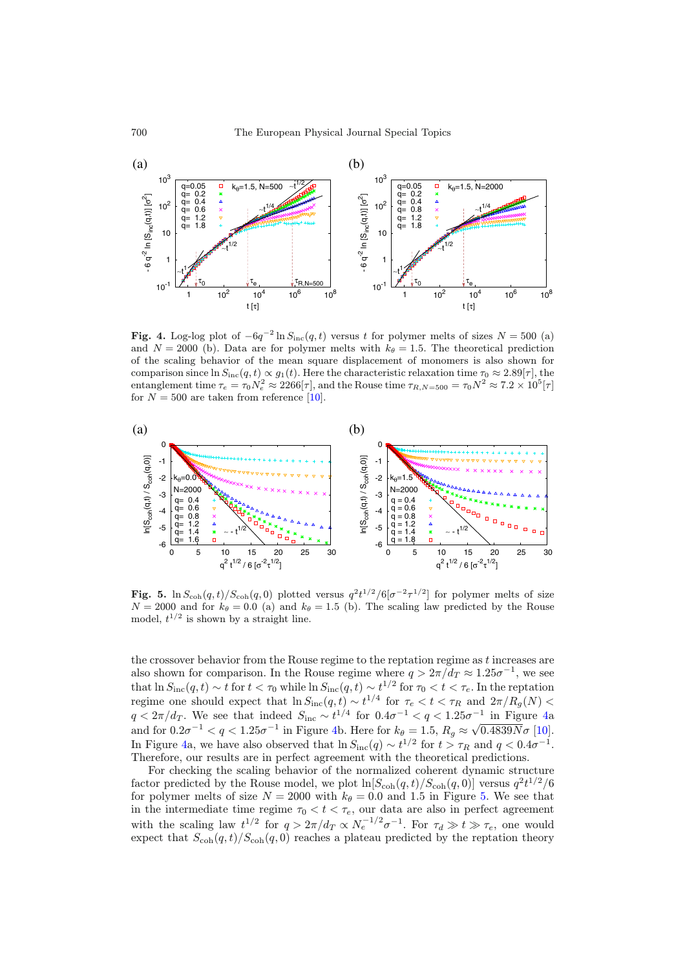<span id="page-7-0"></span>

Fig. 4. Log-log plot of  $-6q^{-2} \ln S_{\text{inc}}(q, t)$  versus t for polymer melts of sizes  $N = 500$  (a) and  $N = 2000$  (b). Data are for polymer melts with  $k_{\theta} = 1.5$ . The theoretical prediction of the scaling behavior of the mean square displacement of monomers is also shown for comparison since  $\ln S_{\text{inc}}(q, t) \propto g_1(t)$ . Here the characteristic relaxation time  $\tau_0 \approx 2.89[\tau]$ , the entanglement time  $\tau_e = \tau_0 N_e^2 \approx 2266[\tau]$ , and the Rouse time  $\tau_{R,N=500} = \tau_0 N^2 \approx 7.2 \times 10^5[\tau]$ for  $N = 500$  are taken from reference [\[10](#page-10-0)].

<span id="page-7-1"></span>

**Fig. 5.** ln  $S_{\text{coh}}(q, t)/S_{\text{coh}}(q, 0)$  plotted versus  $q^2t^{1/2}/6[\sigma^{-2}\tau^{1/2}]$  for polymer melts of size  $N = 2000$  and for  $k_2 = 0.0$  (a) and  $k_2 = 1.5$  (b). The scaling law predicted by the Bouse  $N = 2000$  and for  $k_\theta = 0.0$  (a) and  $k_\theta = 1.5$  (b). The scaling law predicted by the Rouse model,  $t^{1/2}$  is shown by a straight line.

the crossover behavior from the Rouse regime to the reptation regime as  $t$  increases are also shown for comparison. In the Rouse regime where  $q > 2\pi/d_T \approx 1.25\sigma^{-1}$ , we see that  $\ln S_{\text{inc}}(q, t) \sim t$  for  $t < \tau_0$  while  $\ln S_{\text{inc}}(q, t) \sim t^{1/2}$  for  $\tau_0 < t < \tau_e$ . In the reptation regime one should expect that  $\ln S_{\rm inc}(q, t) \sim t^{1/4}$  for  $\tau_e < t < \tau_R$  and  $2\pi/R_g(N) <$  $q < 2\pi/d_T$ . We see that indeed  $S_{\text{inc}} \sim t^{1/4}$  for  $0.4\sigma^{-1} < q < 1.25\sigma^{-1}$  in Figure [4a](#page-7-0) and for  $0.2\sigma^{-1} < q < 1.25\sigma^{-1}$  in Figure [4b](#page-7-0). Here for  $k_\theta = 1.5$ ,  $R_g \approx \sqrt{0.4839N}\sigma$  [\[10\]](#page-10-0). In Figure [4a](#page-7-0), we have also observed that  $\ln S_{\rm inc}(q) \sim t^{1/2}$  for  $t > \tau_R$  and  $q < 0.4\sigma^{-1}$ . Therefore, our results are in perfect agreement with the theoretical predictions.

For checking the scaling behavior of the normalized coherent dynamic structure factor predicted by the Rouse model, we plot  $\ln[S_{\text{coh}}(q,t)/S_{\text{coh}}(q,0)]$  versus  $q^2t^{1/2}/6$ for polymer melts of size  $N = 2000$  with  $k_{\theta} = 0.0$  and 1.5 in Figure [5.](#page-7-1) We see that in the intermediate time regime  $\tau_0 < t < \tau_e$ , our data are also in perfect agreement with the scaling law  $t^{1/2}$  for  $q > 2\pi/d_T \propto N_e^{-1/2} \sigma^{-1}$ . For  $\tau_d \gg t \gg \tau_e$ , one would expect that  $S_{\text{coh}}(q, t)/S_{\text{coh}}(q, 0)$  reaches a plateau predicted by the reptation theory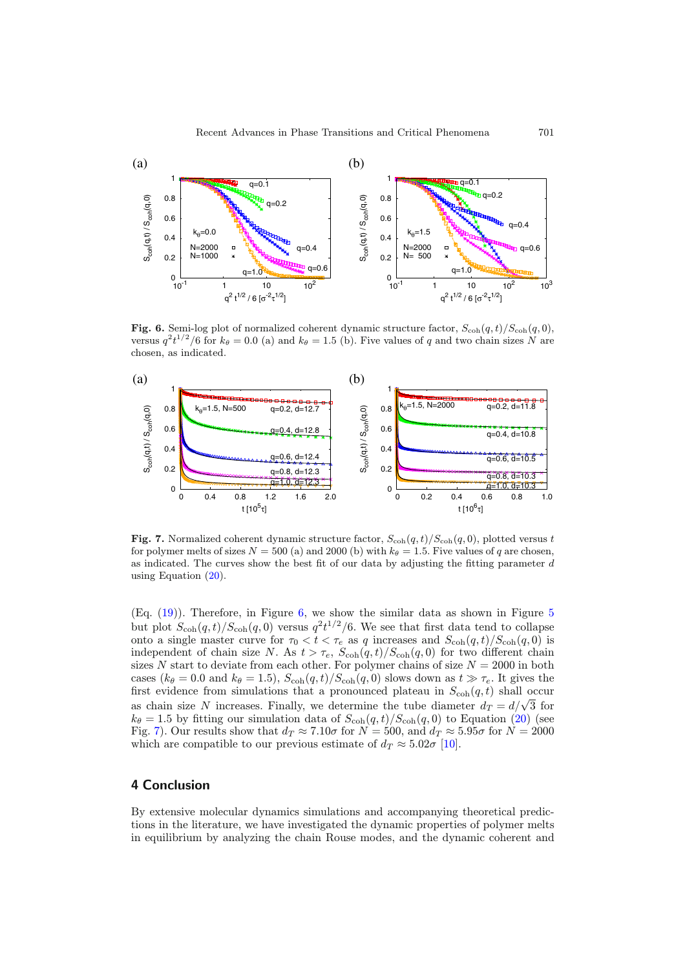<span id="page-8-0"></span>

Fig. 6. Semi-log plot of normalized coherent dynamic structure factor,  $S_{\text{coh}}(q, t)/S_{\text{coh}}(q, 0)$ , versus  $q^2t^{1/2}/6$  for  $k_\theta = 0.0$  (a) and  $k_\theta = 1.5$  (b). Five values of q and two chain sizes N are chosen, as indicated.

<span id="page-8-1"></span>

Fig. 7. Normalized coherent dynamic structure factor,  $S_{\text{coh}}(q, t)/S_{\text{coh}}(q, 0)$ , plotted versus t for polymer melts of sizes  $N = 500$  (a) and 2000 (b) with  $k_\theta = 1.5$ . Five values of q are chosen, as indicated. The curves show the best fit of our data by adjusting the fitting parameter  $d$ using Equation [\(20\)](#page-6-1).

(Eq. [\(19\)](#page-6-2)). Therefore, in Figure [6,](#page-8-0) we show the similar data as shown in Figure [5](#page-7-1) but plot  $S_{\text{coh}}(q,t)/S_{\text{coh}}(q,0)$  versus  $q^2t^{1/2}/6$ . We see that first data tend to collapse onto a single master curve for  $\tau_0 < t < \tau_e$  as q increases and  $S_{\text{coh}}(q, t)/S_{\text{coh}}(q, 0)$  is independent of chain size N. As  $t > \tau_e$ ,  $S_{coh}(q, t)/S_{coh}(q, 0)$  for two different chain sizes  $N$  start to deviate from each other. For polymer chains of size  $N = 2000$  in both cases ( $k_{\theta} = 0.0$  and  $k_{\theta} = 1.5$ ),  $S_{coh}(q, t)/S_{coh}(q, 0)$  slows down as  $t \gg \tau_e$ . It gives the first evidence from simulations that a pronounced plateau in  $S_{\text{coh}}(q, t)$  shall occur as chain size N increases. Finally, we determine the tube diameter  $d_T = d/\sqrt{3}$  for  $k_{\theta} = 1.5$  by fitting our simulation data of  $S_{coh}(q, t)/S_{coh}(q, 0)$  to Equation [\(20\)](#page-6-1) (see Fig. [7\)](#page-8-1). Our results show that  $d_T \approx 7.10\sigma$  for  $N = 500$ , and  $d_T \approx 5.95\sigma$  for  $N = 2000$ which are compatible to our previous estimate of  $d_T \approx 5.02\sigma$  [\[10](#page-10-0)].

### 4 Conclusion

By extensive molecular dynamics simulations and accompanying theoretical predictions in the literature, we have investigated the dynamic properties of polymer melts in equilibrium by analyzing the chain Rouse modes, and the dynamic coherent and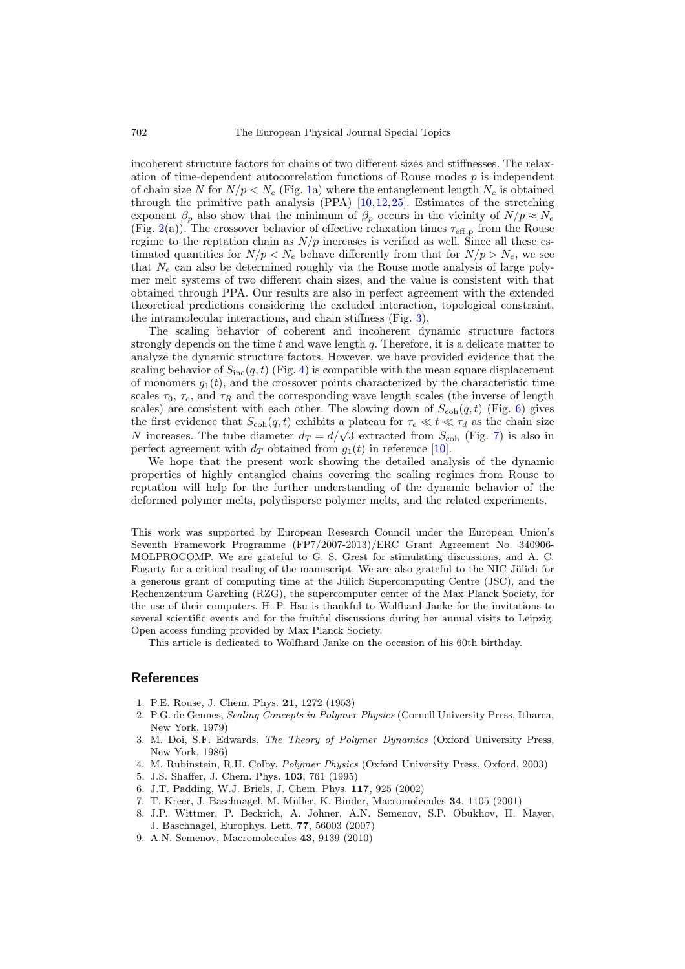incoherent structure factors for chains of two different sizes and stiffnesses. The relaxation of time-dependent autocorrelation functions of Rouse modes  $p$  is independent of chain size N for  $N/p < N_e$  (Fig. [1a](#page-3-0)) where the entanglement length  $N_e$  is obtained through the primitive path analysis (PPA)  $[10,12,25]$  $[10,12,25]$  $[10,12,25]$  $[10,12,25]$ . Estimates of the stretching exponent  $\beta_p$  also show that the minimum of  $\beta_p$  occurs in the vicinity of  $N/p \approx N_e$ (Fig. [2\(](#page-4-0)a)). The crossover behavior of effective relaxation times  $\tau_{\text{eff,p}}$  from the Rouse regime to the reptation chain as  $N/p$  increases is verified as well. Since all these estimated quantities for  $N/p < N_e$  behave differently from that for  $N/p > N_e$ , we see that  $N_e$  can also be determined roughly via the Rouse mode analysis of large polymer melt systems of two different chain sizes, and the value is consistent with that obtained through PPA. Our results are also in perfect agreement with the extended theoretical predictions considering the excluded interaction, topological constraint, the intramolecular interactions, and chain stiffness (Fig. [3\)](#page-5-0).

The scaling behavior of coherent and incoherent dynamic structure factors strongly depends on the time  $t$  and wave length  $q$ . Therefore, it is a delicate matter to analyze the dynamic structure factors. However, we have provided evidence that the scaling behavior of  $S_{\text{inc}}(q, t)$  (Fig. [4\)](#page-7-0) is compatible with the mean square displacement of monomers  $g_1(t)$ , and the crossover points characterized by the characteristic time scales  $\tau_0$ ,  $\tau_e$ , and  $\tau_R$  and the corresponding wave length scales (the inverse of length scales) are consistent with each other. The slowing down of  $S_{\text{coh}}(q, t)$  (Fig. [6\)](#page-8-0) gives the first evidence that  $S_{\text{coh}}(q, t)$  exhibits a plateau for  $\tau_e \ll t \ll \tau_d$  as the chain size N increases. The tube diameter  $d_T = d/\sqrt{3}$  extracted from  $S_{\text{coh}}$  (Fig. [7\)](#page-8-1) is also in perfect agreement with  $d_T$  obtained from  $g_1(t)$  in reference [\[10](#page-10-0)].

We hope that the present work showing the detailed analysis of the dynamic properties of highly entangled chains covering the scaling regimes from Rouse to reptation will help for the further understanding of the dynamic behavior of the deformed polymer melts, polydisperse polymer melts, and the related experiments.

This work was supported by European Research Council under the European Union's Seventh Framework Programme (FP7/2007-2013)/ERC Grant Agreement No. 340906- MOLPROCOMP. We are grateful to G. S. Grest for stimulating discussions, and A. C. Fogarty for a critical reading of the manuscript. We are also grateful to the NIC Jülich for a generous grant of computing time at the Jülich Supercomputing Centre  $(JSC)$ , and the Rechenzentrum Garching (RZG), the supercomputer center of the Max Planck Society, for the use of their computers. H.-P. Hsu is thankful to Wolfhard Janke for the invitations to several scientific events and for the fruitful discussions during her annual visits to Leipzig. Open access funding provided by Max Planck Society.

This article is dedicated to Wolfhard Janke on the occasion of his 60th birthday.

#### <span id="page-9-0"></span>**References**

- 1. P.E. Rouse, J. Chem. Phys. 21, 1272 (1953)
- <span id="page-9-2"></span>2. P.G. de Gennes, Scaling Concepts in Polymer Physics (Cornell University Press, Itharca, New York, 1979)
- <span id="page-9-1"></span>3. M. Doi, S.F. Edwards, The Theory of Polymer Dynamics (Oxford University Press, New York, 1986)
- <span id="page-9-3"></span>4. M. Rubinstein, R.H. Colby, Polymer Physics (Oxford University Press, Oxford, 2003)
- <span id="page-9-4"></span>5. J.S. Shaffer, J. Chem. Phys. 103, 761 (1995)
- <span id="page-9-6"></span>6. J.T. Padding, W.J. Briels, J. Chem. Phys. 117, 925 (2002)
- 7. T. Kreer, J. Baschnagel, M. M¨uller, K. Binder, Macromolecules 34, 1105 (2001)
- <span id="page-9-8"></span><span id="page-9-7"></span>8. J.P. Wittmer, P. Beckrich, A. Johner, A.N. Semenov, S.P. Obukhov, H. Mayer, J. Baschnagel, Europhys. Lett. 77, 56003 (2007)
- <span id="page-9-5"></span>9. A.N. Semenov, Macromolecules 43, 9139 (2010)